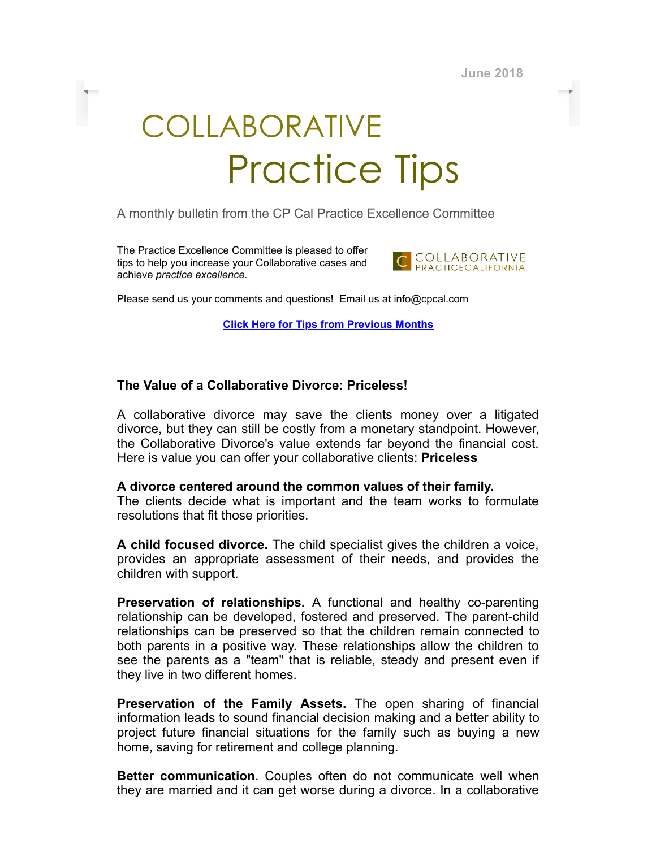**June 2018**

## COLLABORATIVE Practice Tips

A monthly bulletin from the CP Cal Practice Excellence Committee

The Practice Excellence Committee is pleased to offer tips to help you increase your Collaborative cases and achieve *practice excellence.*



Please send us your comments and questions! Email us at info@cpcal.com

**Click Here for Tips from [Previous](http://www.cpcal.com/for-professionals/practice-tips-newsletter/) Months**

## **The Value of a Collaborative Divorce: Priceless!**

A collaborative divorce may save the clients money over a litigated divorce, but they can still be costly from a monetary standpoint. However, the Collaborative Divorce's value extends far beyond the financial cost. Here is value you can offer your collaborative clients: **Priceless**

## **A divorce centered around the common values of their family.**

The clients decide what is important and the team works to formulate resolutions that fit those priorities.

**A child focused divorce.** The child specialist gives the children a voice, provides an appropriate assessment of their needs, and provides the children with support.

**Preservation of relationships.** A functional and healthy co-parenting relationship can be developed, fostered and preserved. The parent-child relationships can be preserved so that the children remain connected to both parents in a positive way. These relationships allow the children to see the parents as a "team" that is reliable, steady and present even if they live in two different homes.

**Preservation of the Family Assets.** The open sharing of financial information leads to sound financial decision making and a better ability to project future financial situations for the family such as buying a new home, saving for retirement and college planning.

**Better communication**. Couples often do not communicate well when they are married and it can get worse during a divorce. In a collaborative